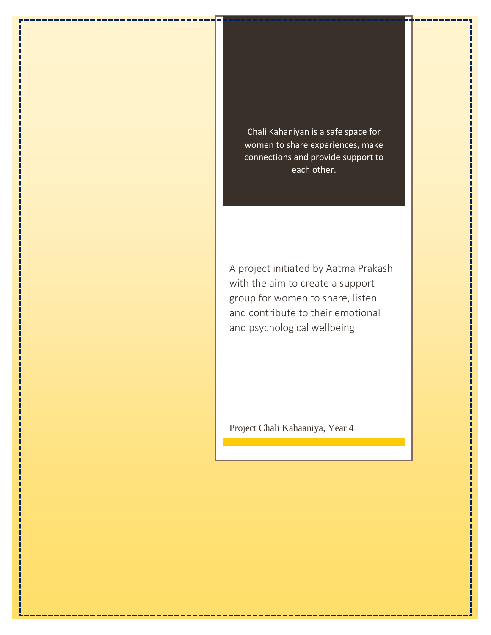Chali Kahaniyan is a safe space for women to share experiences, make connections and provide support to each other.

A project initiated by Aatma Prakash with the aim to create a support group for women to share, listen and contribute to their emotional and psychological wellbeing

Project Chali Kahaaniya, Year 4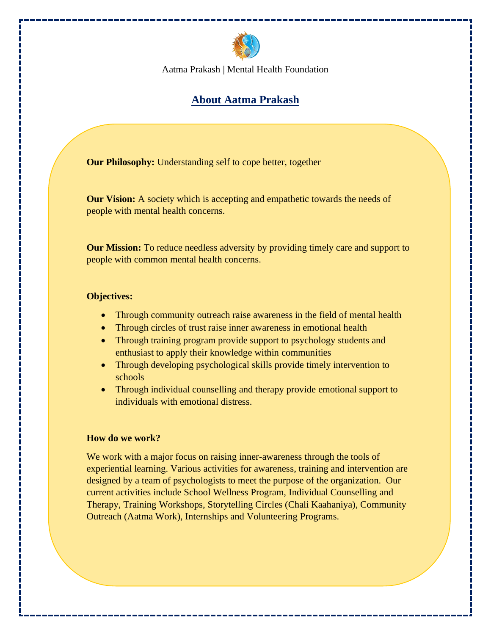

# **About Aatma Prakash**

**Our Philosophy:** Understanding self to cope better, together

**Our Vision:** A society which is accepting and empathetic towards the needs of people with mental health concerns.

**Our Mission:** To reduce needless adversity by providing timely care and support to people with common mental health concerns.

#### **Objectives:**

- Through community outreach raise awareness in the field of mental health
- Through circles of trust raise inner awareness in emotional health
- Through training program provide support to psychology students and enthusiast to apply their knowledge within communities
- Through developing psychological skills provide timely intervention to schools
- Through individual counselling and therapy provide emotional support to individuals with emotional distress.

#### **How do we work?**

We work with a major focus on raising inner-awareness through the tools of experiential learning. Various activities for awareness, training and intervention are designed by a team of psychologists to meet the purpose of the organization. Our current activities include School Wellness Program, Individual Counselling and Therapy, Training Workshops, Storytelling Circles (Chali Kaahaniya), Community Outreach (Aatma Work), Internships and Volunteering Programs.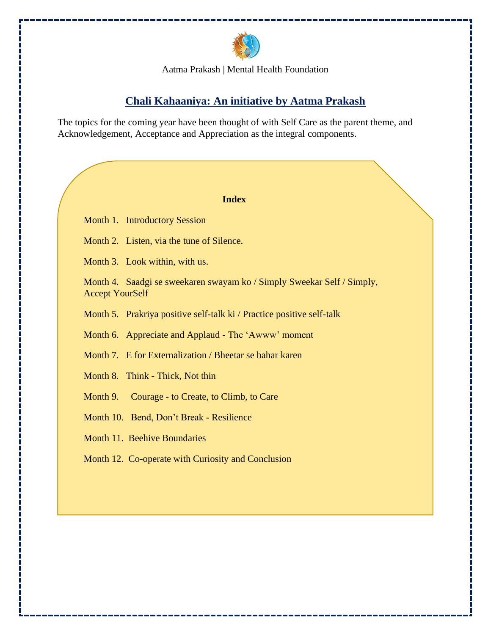

# **Chali Kahaaniya: An initiative by Aatma Prakash**

The topics for the coming year have been thought of with Self Care as the parent theme, and Acknowledgement, Acceptance and Appreciation as the integral components.

#### **Index**

Month 1. Introductory Session

Month 2. Listen, via the tune of Silence.

Month 3. Look within, with us.

Month 4. Saadgi se sweekaren swayam ko / Simply Sweekar Self / Simply, Accept YourSelf

Month 5. Prakriya positive self-talk ki / Practice positive self-talk

Month 6. Appreciate and Applaud - The 'Awww' moment

Month 7. E for Externalization / Bheetar se bahar karen

Month 8. Think - Thick, Not thin

Month 9. Courage - to Create, to Climb, to Care

Month 10. Bend, Don't Break - Resilience

Month 11. Beehive Boundaries

Month 12. Co-operate with Curiosity and Conclusion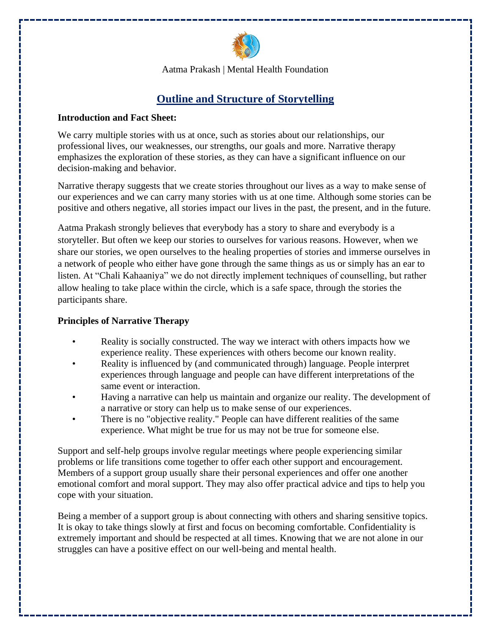

# **Outline and Structure of Storytelling**

#### **Introduction and Fact Sheet:**

We carry multiple stories with us at once, such as stories about our relationships, our professional lives, our weaknesses, our strengths, our goals and more. Narrative therapy emphasizes the exploration of these stories, as they can have a significant influence on our decision-making and behavior.

Narrative therapy suggests that we create stories throughout our lives as a way to make sense of our experiences and we can carry many stories with us at one time. Although some stories can be positive and others negative, all stories impact our lives in the past, the present, and in the future.

Aatma Prakash strongly believes that everybody has a story to share and everybody is a storyteller. But often we keep our stories to ourselves for various reasons. However, when we share our stories, we open ourselves to the healing properties of stories and immerse ourselves in a network of people who either have gone through the same things as us or simply has an ear to listen. At "Chali Kahaaniya" we do not directly implement techniques of counselling, but rather allow healing to take place within the circle, which is a safe space, through the stories the participants share.

#### **Principles of Narrative Therapy**

- Reality is socially constructed. The way we interact with others impacts how we experience reality. These experiences with others become our known reality.
- Reality is influenced by (and communicated through) language. People interpret experiences through language and people can have different interpretations of the same event or interaction.
- Having a narrative can help us maintain and organize our reality. The development of a narrative or story can help us to make sense of our experiences.
- There is no "objective reality." People can have different realities of the same experience. What might be true for us may not be true for someone else.

Support and self-help groups involve regular meetings where people experiencing similar problems or life transitions come together to offer each other support and encouragement. Members of a support group usually share their personal experiences and offer one another emotional comfort and moral support. They may also offer practical advice and tips to help you cope with your situation.

Being a member of a support group is about connecting with others and sharing sensitive topics. It is okay to take things slowly at first and focus on becoming comfortable. Confidentiality is extremely important and should be respected at all times. Knowing that we are not alone in our struggles can have a positive effect on our well-being and mental health.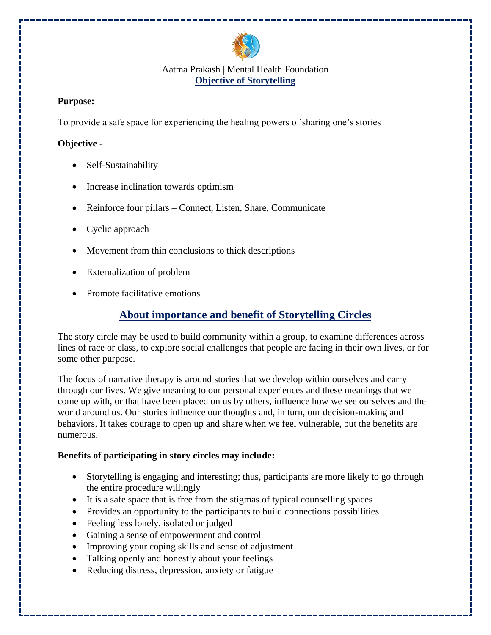

### Aatma Prakash | Mental Health Foundation **Objective of Storytelling**

### **Purpose:**

To provide a safe space for experiencing the healing powers of sharing one's stories

### **Objective -**

- Self-Sustainability
- Increase inclination towards optimism
- Reinforce four pillars Connect, Listen, Share, Communicate
- Cyclic approach
- Movement from thin conclusions to thick descriptions
- Externalization of problem
- Promote facilitative emotions

## **About importance and benefit of Storytelling Circles**

The story circle may be used to build community within a group, to examine differences across lines of race or class, to explore social challenges that people are facing in their own lives, or for some other purpose.

The focus of narrative therapy is around stories that we develop within ourselves and carry through our lives. We give meaning to our personal experiences and these meanings that we come up with, or that have been placed on us by others, influence how we see ourselves and the world around us. Our stories influence our thoughts and, in turn, our decision-making and behaviors. It takes courage to open up and share when we feel vulnerable, but the benefits are numerous.

### **Benefits of participating in story circles may include:**

- Storytelling is engaging and interesting; thus, participants are more likely to go through the entire procedure willingly
- It is a safe space that is free from the stigmas of typical counselling spaces
- Provides an opportunity to the participants to build connections possibilities
- Feeling less lonely, isolated or judged
- Gaining a sense of empowerment and control
- Improving your coping skills and sense of adjustment
- Talking openly and honestly about your feelings
- Reducing distress, depression, anxiety or fatigue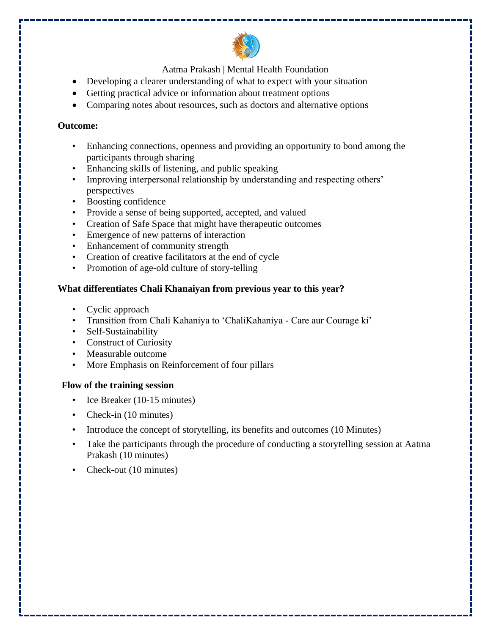

- Developing a clearer understanding of what to expect with your situation
- Getting practical advice or information about treatment options
- Comparing notes about resources, such as doctors and alternative options

### **Outcome:**

- Enhancing connections, openness and providing an opportunity to bond among the participants through sharing
- Enhancing skills of listening, and public speaking
- Improving interpersonal relationship by understanding and respecting others' perspectives
- Boosting confidence
- Provide a sense of being supported, accepted, and valued
- Creation of Safe Space that might have therapeutic outcomes
- Emergence of new patterns of interaction
- Enhancement of community strength
- Creation of creative facilitators at the end of cycle
- Promotion of age-old culture of story-telling

### **What differentiates Chali Khanaiyan from previous year to this year?**

- Cyclic approach
- Transition from Chali Kahaniya to 'ChaliKahaniya Care aur Courage ki'
- Self-Sustainability
- Construct of Curiosity
- Measurable outcome
- More Emphasis on Reinforcement of four pillars

### **Flow of the training session**

- Ice Breaker (10-15 minutes)
- Check-in (10 minutes)
- Introduce the concept of storytelling, its benefits and outcomes (10 Minutes)
- Take the participants through the procedure of conducting a storytelling session at Aatma Prakash (10 minutes)
- Check-out (10 minutes)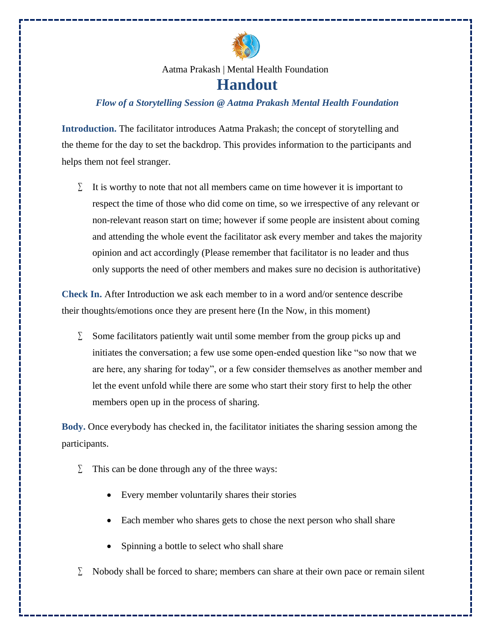

## *Flow of a Storytelling Session @ Aatma Prakash Mental Health Foundation*

**Introduction.** The facilitator introduces Aatma Prakash; the concept of storytelling and the theme for the day to set the backdrop. This provides information to the participants and helps them not feel stranger.

It is worthy to note that not all members came on time however it is important to respect the time of those who did come on time, so we irrespective of any relevant or non-relevant reason start on time; however if some people are insistent about coming and attending the whole event the facilitator ask every member and takes the majority opinion and act accordingly (Please remember that facilitator is no leader and thus only supports the need of other members and makes sure no decision is authoritative)

**Check In.** After Introduction we ask each member to in a word and/or sentence describe their thoughts/emotions once they are present here (In the Now, in this moment)

 $\Sigma$  Some facilitators patiently wait until some member from the group picks up and initiates the conversation; a few use some open-ended question like "so now that we are here, any sharing for today", or a few consider themselves as another member and let the event unfold while there are some who start their story first to help the other members open up in the process of sharing.

**Body.** Once everybody has checked in, the facilitator initiates the sharing session among the participants.

- $\Sigma$  This can be done through any of the three ways:
	- Every member voluntarily shares their stories
	- Each member who shares gets to chose the next person who shall share
	- Spinning a bottle to select who shall share
- $\Sigma$  Nobody shall be forced to share; members can share at their own pace or remain silent